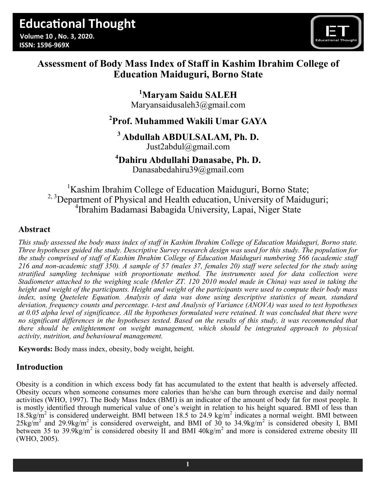

# **Assessment of Body Mass Index of Staff in Kashim Ibrahim College of Education Maiduguri, Borno State**

**<sup>1</sup>Maryam Saidu SALEH** [Maryansaidusaleh3@gmail.com](mailto:Maryansaidusaleh3@gmail.com)

# **<sup>2</sup>Prof. Muhammed Wakili Umar GAYA**

# **<sup>3</sup> Abdullah ABDULSALAM, Ph. D.**

[Just2abdul@gmail.com](mailto:Just2abdul@gmail.com)

# **<sup>4</sup>Dahiru Abdullahi Danasabe, Ph. D.**

[Danasabedahiru39@gmail.com](mailto:Danasabedahiru39@gmail.com)

<sup>1</sup>Kashim Ibrahim College of Education Maiduguri, Borno State; <sup>2, 3</sup>Department of Physical and Health education, University of Maiduguri; 4 Ibrahim Badamasi Babagida University, Lapai, Niger State

# **Abstract**

*This study assessed the body mass index of staff in Kashim Ibrahim College of Education Maiduguri, Borno state. Three hypotheses guided the study. Descriptive Survey research design was used for this study. The population for the study comprised of staff of Kashim Ibrahim College of Education Maiduguri numbering 566 (academic staff 216 and non-academic staff 350). A sample of 57 (males 37, females 20) staff were selected for the study using stratified sampling technique with proportionate method. The instruments used for data collection were Stadiometer attached to the weighing scale (Metler ZT. 120 2010 model made in China) was used in taking the height and weight of the participants. Height and weight of the participants were used to compute their body mass index, using Quetelete Equation. Analysis of data was done using descriptive statistics of mean, standard deviation, frequency counts and percentage. t-test and Analysis of Variance (ANOVA) was used to test hypotheses at 0.05 alpha level of significance. All the hypotheses formulated were retained. It was concluded that there were*  no significant differences in the hypotheses tested. Based on the results of this study, it was recommended that *there should be enlightenment on weight management, which should be integrated approach to physical activity, nutrition, and behavioural management.*

**Keywords:** Body mass index, obesity, body weight, height.

# **Introduction**

Obesity is a condition in which excess body fat has accumulated to the extent that health is adversely affected. Obesity occurs when someone consumes more calories than he/she can burn through exercise and daily normal activities (WHO, 1997). The Body Mass Index (BMI) is an indicator of the amount of body fat for most people. It is mostly identified through numerical value of one's weight in relation to his height squared. BMI of less than 18.5kg/m<sup>2</sup> is considered underweight. BMI between 18.5 to 24.9 kg/m<sup>2</sup> indicates a normal weight. BMI between  $25 \text{kg/m}^2$  and  $29.9 \text{kg/m}^2$  is considered overweight, and BMI of 30 to 34.9kg/m<sup>2</sup> is considered obesity I, BMI between 35 to 39.9 $\text{kg/m}^2$  is considered obesity II and BMI 40kg/m<sup>2</sup> and more is considered extreme obesity III (WHO, 2005).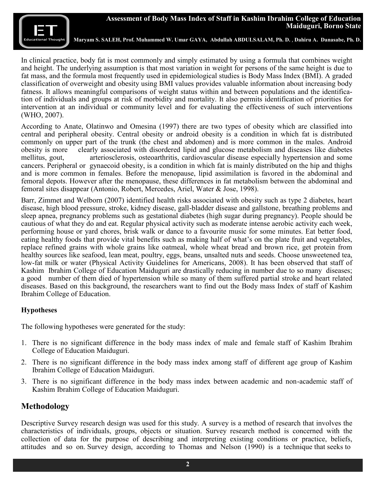**Maryam S. SALEH, Prof. Muhammed W. Umar GAYA, Abdullah ABDULSALAM, Ph. D.** , **Dahiru A. Danasabe, Ph. D.**

In clinical practice, body fat is most commonly and simply estimated by using a formula that combines weight and height. The underlying assumption is that most variation in weight for persons of the same height is due to fat mass, and the formula most frequently used in epidemiological studies is Body Mass Index (BMI). A graded classification of overweight and obesity using BMI values provides valuable information about increasing body fatness. It allows meaningful comparisons of weight status within and between populations and the identification of individuals and groups at risk of morbidity and mortality. It also permits identification of priorities for intervention at an individual or community level and for evaluating the effectiveness of such interventions (WHO, 2007).

According to Anate, Olatinwo and Omesina (1997) there are two types of obesity which are classified into central and peripheral obesity. Central obesity or android obesity is a condition in which fat is distributed commonly on upper part of the trunk (the chest and abdomen) and is more common in the males. Android obesity is more clearly associated with disordered lipid and glucose metabolism and diseases like diabetes mellitus, gout, arteriosclerosis, osteoarthritis, cardiovascular disease especially hypertension and some cancers. Peripheral or gynaecoid obesity, is a condition in which fat is mainly distributed on the hip and thighs and is more common in females. Before the menopause, lipid assimilation is favored in the abdominal and femoral depots. However after the menopause, these differences in fat metabolism between the abdominal and femoral sites disappear (Antonio, Robert, Mercedes, Ariel, Water & Jose, 1998).

Barr, Zimmet and Welborn (2007) identified health risks associated with obesity such as type 2 diabetes, heart disease, high blood pressure, stroke, kidney disease, gall-bladder disease and gallstone, breathing problems and sleep apnea, pregnancy problems such as gestational diabetes (high sugar during pregnancy). People should be cautious of what they do and eat. Regular physical activity such as moderate intense aerobic activity each week, performing house or yard chores, brisk walk or dance to a favourite music for some minutes. Eat better food, eating healthy foods that provide vital benefits such as making half of what's on the plate fruit and vegetables, replace refined grains with whole grains like oatmeal, whole wheat bread and brown rice, get protein from healthy sources like seafood, lean meat, poultry, eggs, beans, unsalted nuts and seeds. Choose unsweetened tea, low-fat milk or water (Physical Activity Guidelines for Americans, 2008). It has been observed that staff of Kashim Ibrahim College of Education Maiduguri are drastically reducing in number due to so many diseases; a good number of them died of hypertension while so many of them suffered partial stroke and heart related diseases. Based on this background, the researchers want to find out the Body mass Index of staff of Kashim Ibrahim College of Education.

#### **Hypotheses**

The following hypotheses were generated for the study:

- 1. There is no significant difference in the body mass index of male and female staff of Kashim Ibrahim College of Education Maiduguri.
- 2. There is no significant difference in the body mass index among staff of different age group of Kashim Ibrahim College of Education Maiduguri.
- 3. There is no significant difference in the body mass index between academic and non-academic staff of Kashim Ibrahim College of Education Maiduguri.

## **Methodology**

Descriptive Survey research design was used for this study. A survey is a method of research that involves the characteristics of individuals, groups, objects or situation. Survey research method is concerned with the collection of data for the purpose of describing and interpreting existing conditions or practice, beliefs, attitudes and so on. Survey design, according to Thomas and Nelson (1990) is a technique that seeks to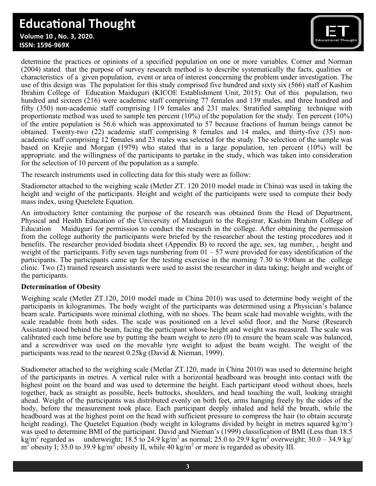# **Educational Thought**

 **Volume 10 , No. 3, 2020. ISSN: 1596-969X**



determine the practices or opinions of a specified population on one or more variables. Corner and Norman (2004) stated that the purpose of survey research method is to describe systematically the facts, qualities or characteristics of a given population, event or area of interest concerning the problem under investigation. The use of this design was The population for this study comprised five hundred and sixty six (566) staff of Kashim Ibrahim College of Education Maiduguri (KICOE Establishment Unit, 2015). Out of this population, two hundred and sixteen (216) were academic staff comprising 77 females and 139 males, and three hundred and fifty (350) non-academic staff comprising 119 females and 231 males. Stratified sampling technique with proportionate method was used to sample ten percent (10%) of the population for the study. Ten percent (10%) of the entire population is 56.6 which was approximated to 57 because fractions of human beings cannot be obtained. Twenty-two (22) academic staff comprising 8 females and 14 males, and thirty-five (35) nonacademic staff comprising 12 females and 23 males was selected for the study. The selection of the sample was based on Krejie and Morgan (1979) who stated that in a large population, ten percent (10%) will be appropriate. and the willingness of the participants to partake in the study, which was taken into consideration for the selection of 10 percent of the population as a sample.

The research instruments used in collecting data for this study were as follow:

Stadiometer attached to the weighing scale (Metler ZT. 120 2010 model made in China) was used in taking the height and weight of the participants. Height and weight of the participants were used to compute their body mass index, using Quetelete Equation.

An introductory letter containing the purpose of the research was obtained from the Head of Department, Physical and Health Education of the University of Maiduguri to the Registrar, Kashim Ibrahim College of Education Maiduguri for permission to conduct the research in the college. After obtaining the permission from the college authority the participants were briefed by the researcher about the testing procedures and it benefits. The researcher provided biodata sheet (Appendix B) to record the age, sex, tag number, , height and weight of the participants. Fifty seven tags numbering from  $01 - 57$  were provided for easy identification of the participants. The participants came up for the testing exercise in the morning 7.30 to 9:00am at the college clinic. Two (2) trained research assistants were used to assist the researcher in data taking; height and weight of the participants.

## **Determination of Obesity**

Weighing scale (Metler ZT.120, 2010 model made in China 2010) was used to determine body weight of the participants in kilogrammes. The body weight of the participants was determined using a Physician's balance beam scale. Participants wore minimal clothing, with no shoes. The beam scale had movable weights, with the scale readable from both sides. The scale was positioned on a level solid floor, and the Nurse (Research Assistant) stood behind the beam, facing the participant whose height and weight was measured. The scale was calibrated each time before use by putting the beam weight to zero (0) to ensure the beam scale was balanced, and a screwdriver was used on the movable tyre weight to adjust the beam weight. The weight of the participants was read to the nearest 0.25kg (David & Nieman, 1999).

Stadiometer attached to the weighing scale (Metlar ZT.120, made in China 2010) was used to determine height of the participants in metres. A vertical ruler with a horizontal headboard was brought into contact with the highest point on the board and was used to determine the height. Each participant stood without shoes, heels together, back as straight as possible, heels buttocks, shoulders, and head touching the wall, looking straight ahead. Weight of the participants was distributed evenly on both feet, arms hanging freely by the sides of the body, before the measurement took place. Each participant deeply inhaled and held the breath, while the headboard was at the highest point on the head with sufficient pressure to compress the hair (to obtain accurate height reading). The Quetelet Equation (body weight in kilograms divided by height in metres squared kg/m<sup>2</sup>) was used to determine BMI of the participant. David and Nieman's (1999) classification of BMI (Less than 18.5  $k\varrho/m^2$  regarded as regarded as underweight; 18.5 to 24.9 kg/m<sup>2</sup> as normal; 25.0 to 29.9 kg/m<sup>2</sup> overweight; 30.0 – 34.9 kg/  $m^2$  obesity I; 35.0 to 39.9 kg/m<sup>2</sup> obesity II, while 40 kg/m<sup>2</sup> or more is regarded as obesity III.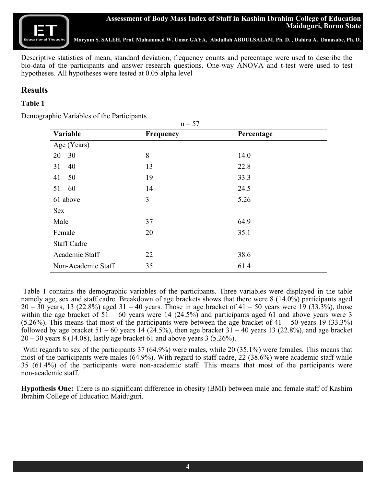

## **Assessment of Body Mass Index of Staff in Kashim Ibrahim College of Education Maiduguri, Borno State**

**Maryam S. SALEH, Prof. Muhammed W. Umar GAYA, Abdullah ABDULSALAM, Ph. D.** , **Dahiru A. Danasabe, Ph. D.**

Descriptive statistics of mean, standard deviation, frequency counts and percentage were used to describe the bio-data of the participants and answer research questions. One-way ANOVA and t-test were used to test hypotheses. All hypotheses were tested at 0.05 alpha level

# **Results**

#### **Table 1**

Demographic Variables of the Participants

| $n = 57$           |           |            |  |  |  |
|--------------------|-----------|------------|--|--|--|
| Variable           | Frequency | Percentage |  |  |  |
| Age (Years)        |           |            |  |  |  |
| $20 - 30$          | 8         | 14.0       |  |  |  |
| $31 - 40$          | 13        | 22.8       |  |  |  |
| $41 - 50$          | 19        | 33.3       |  |  |  |
| $51 - 60$          | 14        | 24.5       |  |  |  |
| 61 above           | 3         | 5.26       |  |  |  |
| Sex                |           |            |  |  |  |
| Male               | 37        | 64.9       |  |  |  |
| Female             | 20        | 35.1       |  |  |  |
| <b>Staff Cadre</b> |           |            |  |  |  |
| Academic Staff     | 22        | 38.6       |  |  |  |
| Non-Academic Staff | 35        | 61.4       |  |  |  |

Table 1 contains the demographic variables of the participants. Three variables were displayed in the table namely age, sex and staff cadre. Breakdown of age brackets shows that there were 8 (14.0%) participants aged  $20 - 30$  years, 13 (22.8%) aged  $31 - 40$  years. Those in age bracket of  $41 - 50$  years were 19 (33.3%), those within the age bracket of  $51 - 60$  years were 14 (24.5%) and participants aged 61 and above years were 3 (5.26%). This means that most of the participants were between the age bracket of  $41 - 50$  years 19 (33.3%) followed by age bracket  $51 - 60$  years 14 (24.5%), then age bracket  $31 - 40$  years 13 (22.8%), and age bracket  $20 - 30$  years  $8(14.08)$ , lastly age bracket 61 and above years 3 (5.26%).

With regards to sex of the participants 37 (64.9%) were males, while 20 (35.1%) were females. This means that most of the participants were males (64.9%). With regard to staff cadre, 22 (38.6%) were academic staff while 35 (61.4%) of the participants were non-academic staff. This means that most of the participants were non-academic staff.

**Hypothesis One:** There is no significant difference in obesity (BMI) between male and female staff of Kashim Ibrahim College of Education Maiduguri.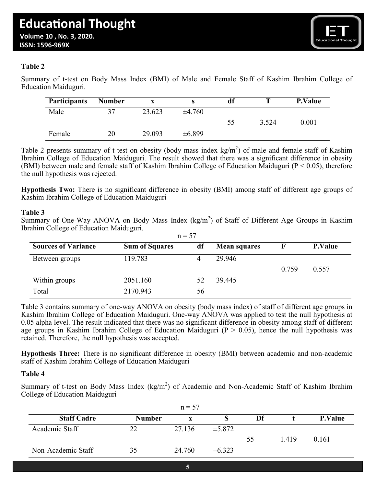

#### **Table 2**

Summary of t-test on Body Mass Index (BMI) of Male and Female Staff of Kashim Ibrahim College of Education Maiduguri.

| <b>Participants</b> | <b>Number</b> |        |             | df |       | <b>P.Value</b> |
|---------------------|---------------|--------|-------------|----|-------|----------------|
| Male                | 37            | 23.623 | ±4.760      |    |       |                |
|                     |               |        |             | 55 | 3.524 | 0.001          |
| Female              | 20            | 29.093 | $\pm 6.899$ |    |       |                |

Table 2 presents summary of t-test on obesity (body mass index  $kg/m<sup>2</sup>$ ) of male and female staff of Kashim Ibrahim College of Education Maiduguri. The result showed that there was a significant difference in obesity (BMI) between male and female staff of Kashim Ibrahim College of Education Maiduguri (P < 0.05), therefore the null hypothesis was rejected.

**Hypothesis Two:** There is no significant difference in obesity (BMI) among staff of different age groups of Kashim Ibrahim College of Education Maiduguri

#### **Table 3**

Summary of One-Way ANOVA on Body Mass Index  $(kg/m^2)$  of Staff of Different Age Groups in Kashim Ibrahim College of Education Maiduguri.  $n - 57$ 

| <b>Sources of Variance</b> | <b>Sum of Squares</b> | $11 - 31$<br>df | <b>Mean squares</b> |       | <b>P.Value</b> |
|----------------------------|-----------------------|-----------------|---------------------|-------|----------------|
| Between groups             | 119.783               | 4               | 29.946              |       |                |
|                            |                       |                 |                     | 0.759 | 0.557          |
| Within groups              | 2051.160              | 52              | 39.445              |       |                |
| Total                      | 2170.943              | 56              |                     |       |                |

Table 3 contains summary of one-way ANOVA on obesity (body mass index) of staff of different age groups in Kashim Ibrahim College of Education Maiduguri. One-way ANOVA was applied to test the null hypothesis at 0.05 alpha level. The result indicated that there was no significant difference in obesity among staff of different age groups in Kashim Ibrahim College of Education Maiduguri ( $P > 0.05$ ), hence the null hypothesis was retained. Therefore, the null hypothesis was accepted.

**Hypothesis Three:** There is no significant difference in obesity (BMI) between academic and non-academic staff of Kashim Ibrahim College of Education Maiduguri

#### **Table 4**

Summary of t-test on Body Mass Index ( $kg/m<sup>2</sup>$ ) of Academic and Non-Academic Staff of Kashim Ibrahim College of Education Maiduguri

| $n = 57$           |               |        |             |    |       |                |
|--------------------|---------------|--------|-------------|----|-------|----------------|
| <b>Staff Cadre</b> | <b>Number</b> | v      |             | Df |       | <b>P.Value</b> |
| Academic Staff     | つつ            | 27.136 | $\pm 5.872$ |    |       |                |
|                    |               |        |             | 55 | 1.419 | 0.161          |
| Non-Academic Staff | 35            | 24.760 | $\pm 6.323$ |    |       |                |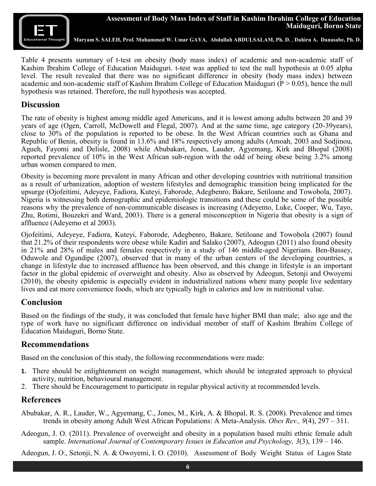

**Maryam S. SALEH, Prof. Muhammed W. Umar GAYA, Abdullah ABDULSALAM, Ph. D.** , **Dahiru A. Danasabe, Ph. D.**

Table 4 presents summary of t-test on obesity (body mass index) of academic and non-academic staff of Kashim Ibrahim College of Education Maiduguri. t-test was applied to test the null hypothesis at 0.05 alpha level. The result revealed that there was no significant difference in obesity (body mass index) between academic and non-academic staff of Kashim Ibrahim College of Education Maiduguri ( $P > 0.05$ ), hence the null hypothesis was retained. Therefore, the null hypothesis was accepted.

## **Discussion**

The rate of obesity is highest among middle aged Americans, and it is lowest among adults between 20 and 39 years of age (Ogen, Carroll, McDowell and Flegal, 2007). And at the same time, age category (20-39years), close to 30% of the population is reported to be obese. In the West African countries such as Ghana and Republic of Benin, obesity is found in 13.6% and 18% respectively among adults (Amoah, 2003 and Sodjinou, Agueh, Fayomi and Delisle, 2008) while Abubakari, Jones, Lauder, Agyemang, Kirk and Bhopal (2008) reported prevalence of 10% in the West African sub-region with the odd of being obese being 3.2% among urban women compared to men.

Obesity is becoming more prevalent in many African and other developing countries with nutritional transition as a result of urbanization, adoption of western lifestyles and demographic transition being implicated for the upsurge (Ojofeitimi, Adeyeye, Fadiora, Kuteyi, Faborode, Adegbenro, Bakare, Setiloane and Towobola, 2007). Nigeria is witnessing both demographic and epidemiologic transitions and these could be some of the possible reasons why the prevalence of non-communicable diseases is increasing (Adeyemo, Luke, Cooper, Wu, Tayo, Zhu, Rotimi, Bouzekri and Ward, 2003). There is a general misconception in Nigeria that obesity is a sign of affluence (Adeyemo et al 2003).

Ojofeitimi, Adeyeye, Fadiora, Kuteyi, Faborode, Adegbenro, Bakare, Setiloane and Towobola (2007) found that 21.2% of their respondents were obese while Kadiri and Salako (2007), Adeogun (2011) also found obesity in 21% and 28% of males and females respectively in a study of 146 middle-aged Nigerians. Ben-Bassey, Oduwole and Ogundipe (2007), observed that in many of the urban centers of the developing countries, a change in lifestyle due to increased affluence has been observed, and this change in lifestyle is an important factor in the global epidemic of overweight and obesity. Also as observed by Adeogun, Setonji and Owoyemi (2010), the obesity epidemic is especially evident in industrialized nations where many people live sedentary lives and eat more convenience foods, which are typically high in calories and low in nutritional value.

# **Conclusion**

Based on the findings of the study, it was concluded that female have higher BMI than male; also age and the type of work have no significant difference on individual member of staff of Kashim Ibrahim College of Education Maiduguri, Borno State.

## **Recommendations**

Based on the conclusion of this study, the following recommendations were made:

- **1.** There should be enlightenment on weight management, which should be integrated approach to physical activity, nutrition, behavioural management.
- 2. There should be Encouragement to participate in regular physical activity at recommended levels.

## **References**

- Abubakar, A. R., Lauder, W., Agyemang, C., Jones, M., Kirk, A. & Bhopal, R. S. (2008). Prevalence and times trends in obesity among Adult West African Populations: A Meta-Analysis. *Obes Rev., 9*(4), 297 – 311.
- Adeogun, J. O. (2011). Prevalence of overweight and obesity in a population based multi ethnic female adult sample. *International Journal of Contemporary Issues in Education and Psychology, 3*(3), 139 – 146.

Adeogun, J. O., Setonji, N. A. & Owoyemi, I. O. (2010). Assessment of Body Weight Status of Lagos State